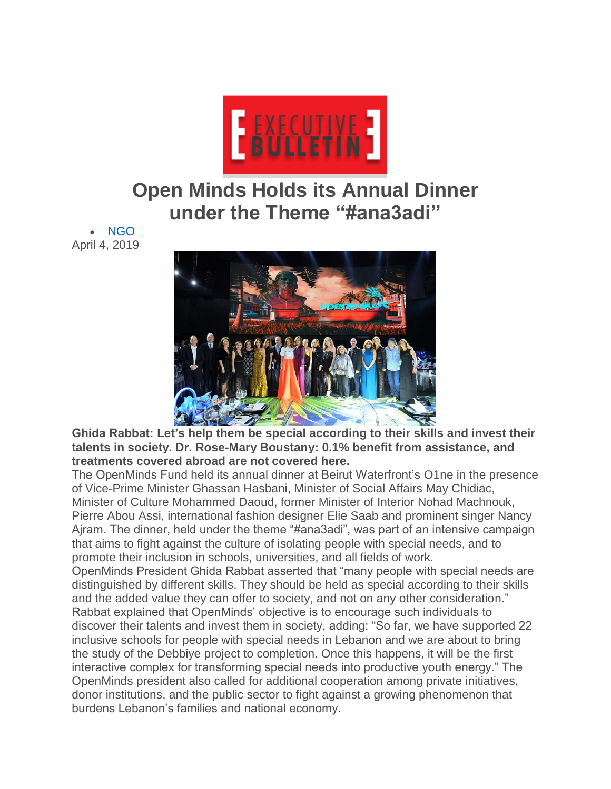

## **Open Minds Holds its Annual Dinner under the Theme "#ana3adi"**

 [NGO](http://executive-bulletin.com/ngo) April 4, 2019



**Ghida Rabbat: Let's help them be special according to their skills and invest their talents in society. Dr. Rose-Mary Boustany: 0.1% benefit from assistance, and treatments covered abroad are not covered here.**

The OpenMinds Fund held its annual dinner at Beirut Waterfront's O1ne in the presence of Vice-Prime Minister Ghassan Hasbani, Minister of Social Affairs May Chidiac, Minister of Culture Mohammed Daoud, former Minister of Interior Nohad Machnouk, Pierre Abou Assi, international fashion designer Elie Saab and prominent singer Nancy Ajram. The dinner, held under the theme "#ana3adi", was part of an intensive campaign that aims to fight against the culture of isolating people with special needs, and to promote their inclusion in schools, universities, and all fields of work.

OpenMinds President Ghida Rabbat asserted that "many people with special needs are distinguished by different skills. They should be held as special according to their skills and the added value they can offer to society, and not on any other consideration." Rabbat explained that OpenMinds' objective is to encourage such individuals to discover their talents and invest them in society, adding: "So far, we have supported 22 inclusive schools for people with special needs in Lebanon and we are about to bring the study of the Debbiye project to completion. Once this happens, it will be the first interactive complex for transforming special needs into productive youth energy." The OpenMinds president also called for additional cooperation among private initiatives, donor institutions, and the public sector to fight against a growing phenomenon that burdens Lebanon's families and national economy.